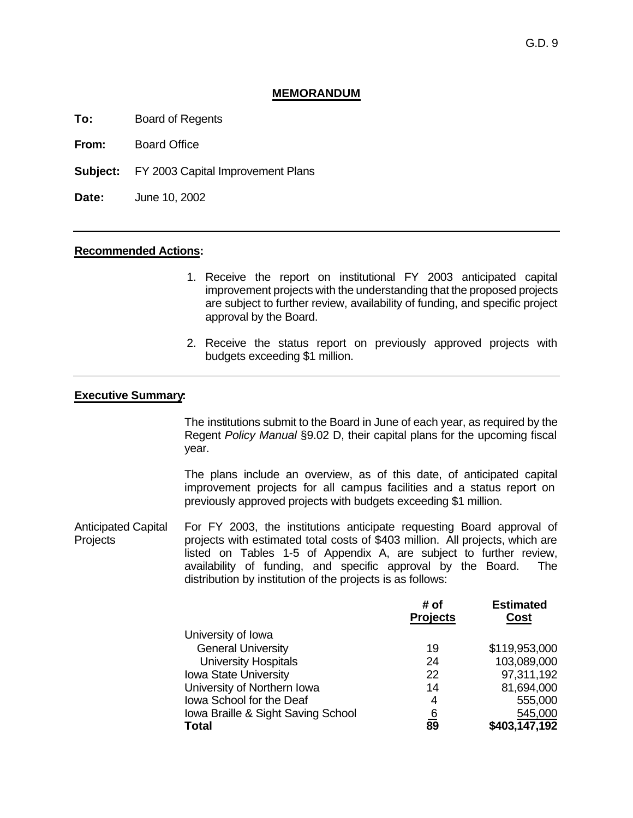#### **MEMORANDUM**

**To:** Board of Regents

**From:** Board Office

**Subject:** FY 2003 Capital Improvement Plans

**Date:** June 10, 2002

#### **Recommended Actions:**

- 1. Receive the report on institutional FY 2003 anticipated capital improvement projects with the understanding that the proposed projects are subject to further review, availability of funding, and specific project approval by the Board.
- 2. Receive the status report on previously approved projects with budgets exceeding \$1 million.

#### **Executive Summary:**

The institutions submit to the Board in June of each year, as required by the Regent *Policy Manual* §9.02 D, their capital plans for the upcoming fiscal year.

The plans include an overview, as of this date, of anticipated capital improvement projects for all campus facilities and a status report on previously approved projects with budgets exceeding \$1 million.

Anticipated Capital Projects For FY 2003, the institutions anticipate requesting Board approval of projects with estimated total costs of \$403 million. All projects, which are listed on Tables 1-5 of Appendix A, are subject to further review, availability of funding, and specific approval by the Board. The distribution by institution of the projects is as follows:

|                                    | # of<br><b>Projects</b> | <b>Estimated</b><br><b>Cost</b> |
|------------------------------------|-------------------------|---------------------------------|
| University of Iowa                 |                         |                                 |
| <b>General University</b>          | 19                      | \$119,953,000                   |
| <b>University Hospitals</b>        | 24                      | 103,089,000                     |
| Iowa State University              | 22                      | 97,311,192                      |
| University of Northern Iowa        | 14                      | 81,694,000                      |
| Iowa School for the Deaf           | 4                       | 555,000                         |
| Iowa Braille & Sight Saving School | 6                       | 545,000                         |
| Total                              | $\bar{\mathbf{89}}$     | \$403, 147, 192                 |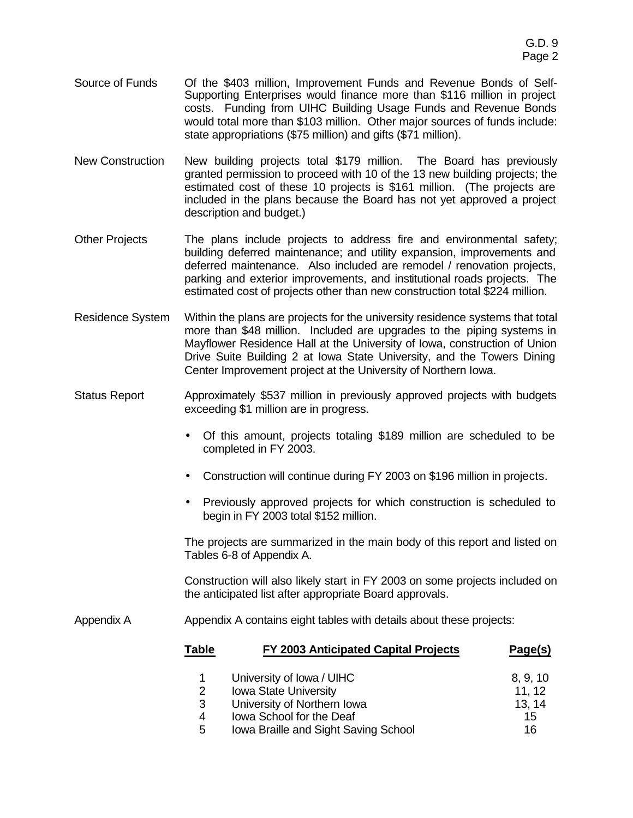- Source of Funds Of the \$403 million, Improvement Funds and Revenue Bonds of Self-Supporting Enterprises would finance more than \$116 million in project costs. Funding from UIHC Building Usage Funds and Revenue Bonds would total more than \$103 million. Other major sources of funds include: state appropriations (\$75 million) and gifts (\$71 million).
- New Construction New building projects total \$179 million. The Board has previously granted permission to proceed with 10 of the 13 new building projects; the estimated cost of these 10 projects is \$161 million. (The projects are included in the plans because the Board has not yet approved a project description and budget.)
- Other Projects The plans include projects to address fire and environmental safety; building deferred maintenance; and utility expansion, improvements and deferred maintenance. Also included are remodel / renovation projects, parking and exterior improvements, and institutional roads projects. The estimated cost of projects other than new construction total \$224 million.
- Residence System Within the plans are projects for the university residence systems that total more than \$48 million. Included are upgrades to the piping systems in Mayflower Residence Hall at the University of Iowa, construction of Union Drive Suite Building 2 at Iowa State University, and the Towers Dining Center Improvement project at the University of Northern Iowa.
- Status Report Approximately \$537 million in previously approved projects with budgets exceeding \$1 million are in progress.
	- Of this amount, projects totaling \$189 million are scheduled to be completed in FY 2003.
	- Construction will continue during FY 2003 on \$196 million in projects.
	- Previously approved projects for which construction is scheduled to begin in FY 2003 total \$152 million.

The projects are summarized in the main body of this report and listed on Tables 6-8 of Appendix A.

Construction will also likely start in FY 2003 on some projects included on the anticipated list after appropriate Board approvals.

Appendix A Appendix A contains eight tables with details about these projects:

| Table | FY 2003 Anticipated Capital Projects | Page(s)  |
|-------|--------------------------------------|----------|
|       | University of Iowa / UIHC            | 8, 9, 10 |
| 2     | <b>Iowa State University</b>         | 11, 12   |
| 3     | University of Northern Iowa          | 13, 14   |
| 4     | Iowa School for the Deaf             | 15       |
| 5     | Iowa Braille and Sight Saving School | 16       |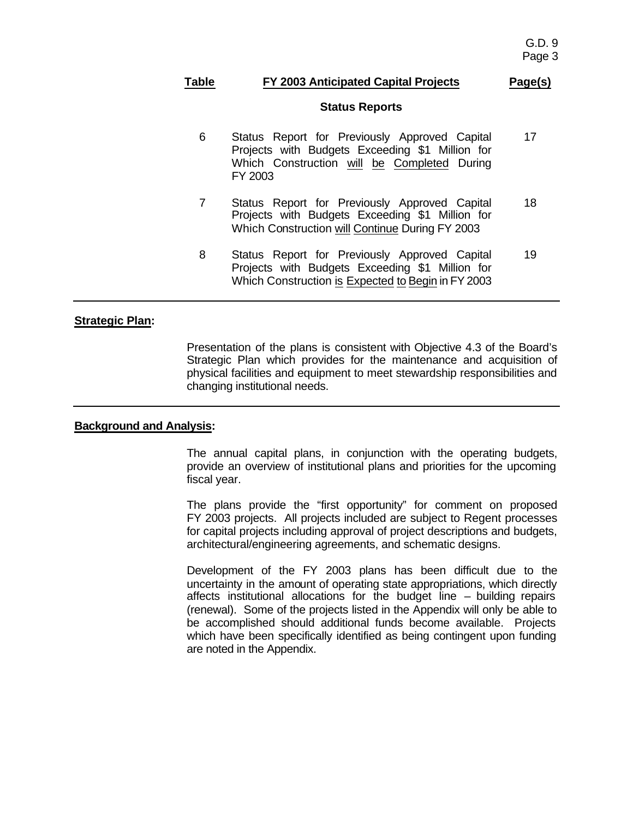#### **Table FY 2003 Anticipated Capital Projects Page(s)**

#### **Status Reports**

- 6 Status Report for Previously Approved Capital Projects with Budgets Exceeding \$1 Million for Which Construction will be Completed During FY 2003 17
- 7 Status Report for Previously Approved Capital Projects with Budgets Exceeding \$1 Million for Which Construction will Continue During FY 2003 18
- 8 Status Report for Previously Approved Capital Projects with Budgets Exceeding \$1 Million for Which Construction is Expected to Begin in FY 2003 19

#### **Strategic Plan:**

Presentation of the plans is consistent with Objective 4.3 of the Board's Strategic Plan which provides for the maintenance and acquisition of physical facilities and equipment to meet stewardship responsibilities and changing institutional needs.

#### **Background and Analysis:**

The annual capital plans, in conjunction with the operating budgets, provide an overview of institutional plans and priorities for the upcoming fiscal year.

The plans provide the "first opportunity" for comment on proposed FY 2003 projects. All projects included are subject to Regent processes for capital projects including approval of project descriptions and budgets, architectural/engineering agreements, and schematic designs.

Development of the FY 2003 plans has been difficult due to the uncertainty in the amount of operating state appropriations, which directly affects institutional allocations for the budget line – building repairs (renewal). Some of the projects listed in the Appendix will only be able to be accomplished should additional funds become available. Projects which have been specifically identified as being contingent upon funding are noted in the Appendix.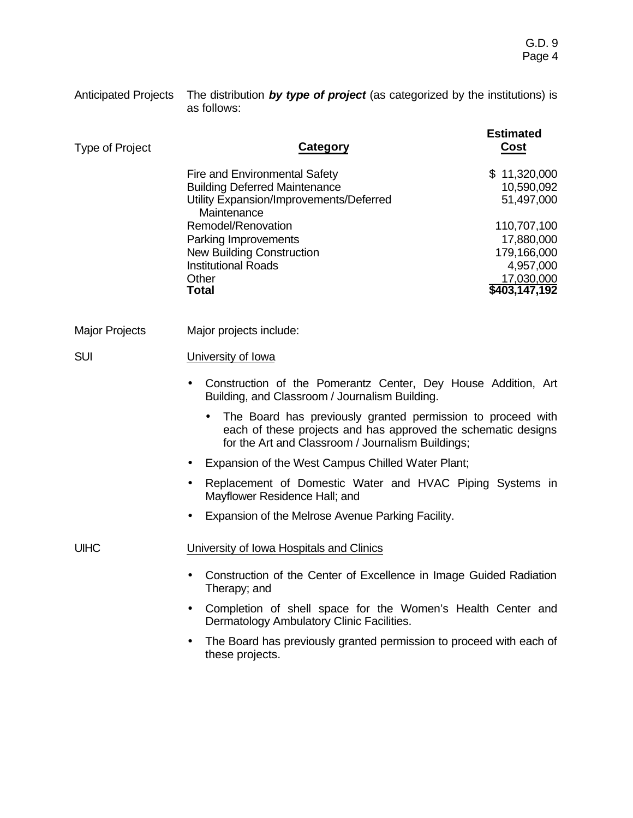| Anticipated Projects The distribution by type of project (as categorized by the institutions) is |
|--------------------------------------------------------------------------------------------------|
| as follows:                                                                                      |

| <b>Type of Project</b> | <b>Category</b>                                                                                                                                                                   | <b>Estimated</b><br>Cost                                                             |
|------------------------|-----------------------------------------------------------------------------------------------------------------------------------------------------------------------------------|--------------------------------------------------------------------------------------|
|                        | Fire and Environmental Safety<br><b>Building Deferred Maintenance</b><br>Utility Expansion/Improvements/Deferred<br>Maintenance                                                   | \$11,320,000<br>10,590,092<br>51,497,000                                             |
|                        | Remodel/Renovation<br>Parking Improvements<br><b>New Building Construction</b><br><b>Institutional Roads</b><br>Other<br><b>Total</b>                                             | 110,707,100<br>17,880,000<br>179,166,000<br>4,957,000<br>17,030,000<br>\$403,147,192 |
| <b>Major Projects</b>  | Major projects include:                                                                                                                                                           |                                                                                      |
| <b>SUI</b>             | University of Iowa                                                                                                                                                                |                                                                                      |
|                        | Construction of the Pomerantz Center, Dey House Addition, Art<br>Building, and Classroom / Journalism Building.                                                                   |                                                                                      |
|                        | The Board has previously granted permission to proceed with<br>each of these projects and has approved the schematic designs<br>for the Art and Classroom / Journalism Buildings; |                                                                                      |
|                        | Expansion of the West Campus Chilled Water Plant;                                                                                                                                 |                                                                                      |
|                        | Replacement of Domestic Water and HVAC Piping Systems in<br>Mayflower Residence Hall; and                                                                                         |                                                                                      |
|                        | Expansion of the Melrose Avenue Parking Facility.                                                                                                                                 |                                                                                      |
| <b>UIHC</b>            | University of Iowa Hospitals and Clinics                                                                                                                                          |                                                                                      |
|                        | Construction of the Center of Excellence in Image Guided Radiation<br>Therapy; and                                                                                                |                                                                                      |
|                        | Completion of shell space for the Women's Health Center and<br>Dermatology Ambulatory Clinic Facilities.                                                                          |                                                                                      |

• The Board has previously granted permission to proceed with each of these projects.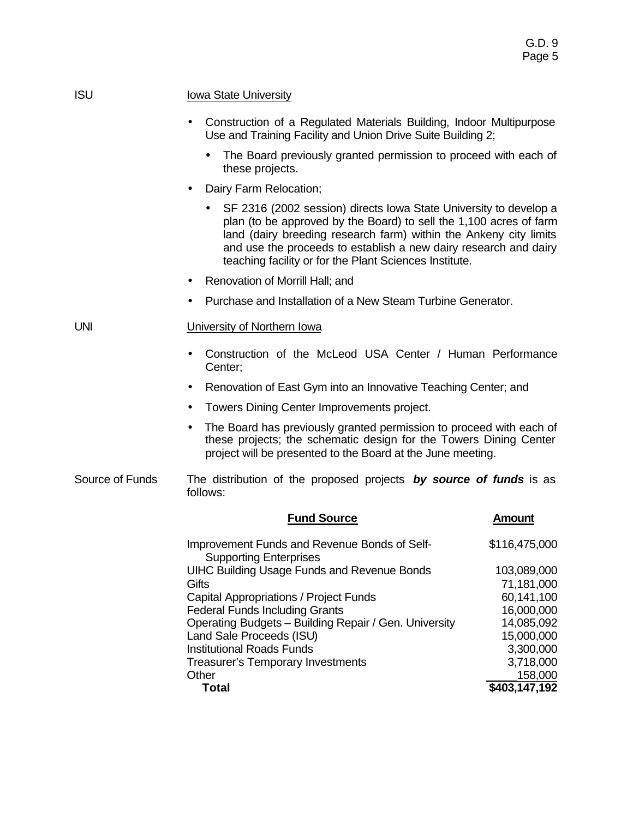| <b>ISU</b>      | <b>Iowa State University</b>                                                                                                                                                                                                                                                                                                               |                          |
|-----------------|--------------------------------------------------------------------------------------------------------------------------------------------------------------------------------------------------------------------------------------------------------------------------------------------------------------------------------------------|--------------------------|
|                 | Construction of a Regulated Materials Building, Indoor Multipurpose<br>Use and Training Facility and Union Drive Suite Building 2;                                                                                                                                                                                                         |                          |
|                 | The Board previously granted permission to proceed with each of<br>these projects.                                                                                                                                                                                                                                                         |                          |
|                 | Dairy Farm Relocation;                                                                                                                                                                                                                                                                                                                     |                          |
|                 | SF 2316 (2002 session) directs lowa State University to develop a<br>plan (to be approved by the Board) to sell the 1,100 acres of farm<br>land (dairy breeding research farm) within the Ankeny city limits<br>and use the proceeds to establish a new dairy research and dairy<br>teaching facility or for the Plant Sciences Institute. |                          |
|                 | Renovation of Morrill Hall; and                                                                                                                                                                                                                                                                                                            |                          |
|                 | Purchase and Installation of a New Steam Turbine Generator.<br>$\bullet$                                                                                                                                                                                                                                                                   |                          |
| <b>UNI</b>      | University of Northern Iowa                                                                                                                                                                                                                                                                                                                |                          |
|                 | Construction of the McLeod USA Center / Human Performance<br>Center;                                                                                                                                                                                                                                                                       |                          |
|                 | Renovation of East Gym into an Innovative Teaching Center; and<br>$\bullet$                                                                                                                                                                                                                                                                |                          |
|                 | Towers Dining Center Improvements project.<br>$\bullet$                                                                                                                                                                                                                                                                                    |                          |
|                 | The Board has previously granted permission to proceed with each of<br>these projects; the schematic design for the Towers Dining Center<br>project will be presented to the Board at the June meeting.                                                                                                                                    |                          |
| Source of Funds | The distribution of the proposed projects by source of funds is as<br>follows:                                                                                                                                                                                                                                                             |                          |
|                 | <b>Fund Source</b>                                                                                                                                                                                                                                                                                                                         | <b>Amount</b>            |
|                 | Improvement Funds and Revenue Bonds of Self-<br><b>Supporting Enterprises</b>                                                                                                                                                                                                                                                              | \$116,475,000            |
|                 | <b>UIHC Building Usage Funds and Revenue Bonds</b>                                                                                                                                                                                                                                                                                         | 103,089,000              |
|                 | Gifts                                                                                                                                                                                                                                                                                                                                      | 71,181,000               |
|                 | Capital Appropriations / Project Funds                                                                                                                                                                                                                                                                                                     | 60,141,100               |
|                 | <b>Federal Funds Including Grants</b>                                                                                                                                                                                                                                                                                                      | 16,000,000<br>14,085,092 |
|                 | Operating Budgets - Building Repair / Gen. University<br>Land Sale Proceeds (ISU)                                                                                                                                                                                                                                                          | 15,000,000               |
|                 | <b>Institutional Roads Funds</b>                                                                                                                                                                                                                                                                                                           | 3,300,000                |
|                 | <b>Treasurer's Temporary Investments</b>                                                                                                                                                                                                                                                                                                   | 3,718,000                |
|                 | Other                                                                                                                                                                                                                                                                                                                                      | 158,000                  |
|                 | <b>Total</b>                                                                                                                                                                                                                                                                                                                               | \$403,147,192            |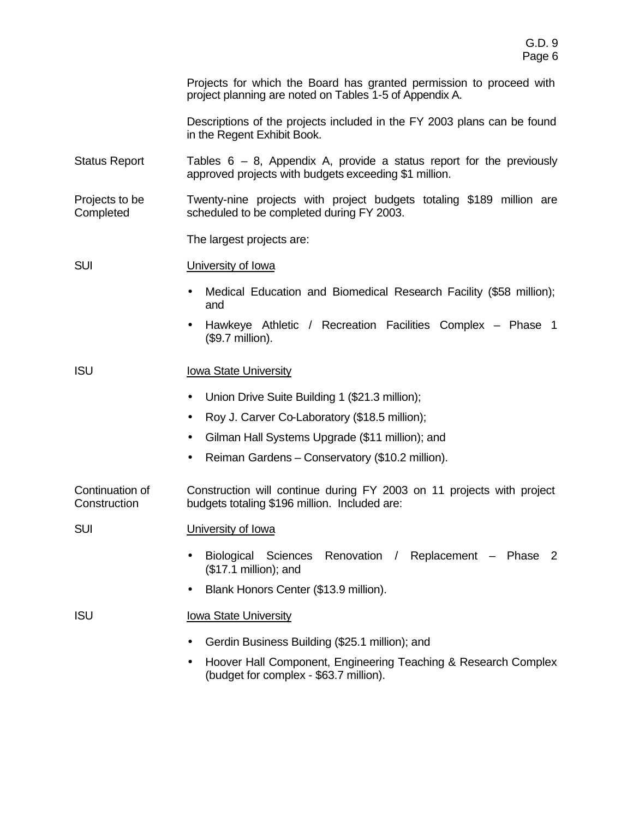Projects for which the Board has granted permission to proceed with project planning are noted on Tables 1-5 of Appendix A.

Descriptions of the projects included in the FY 2003 plans can be found in the Regent Exhibit Book.

- Status Report Tables  $6 8$ , Appendix A, provide a status report for the previously approved projects with budgets exceeding \$1 million.
- Projects to be **Completed** Twenty-nine projects with project budgets totaling \$189 million are scheduled to be completed during FY 2003.

The largest projects are:

SUI University of Iowa

- Medical Education and Biomedical Research Facility (\$58 million); and
- Hawkeye Athletic / Recreation Facilities Complex Phase 1 (\$9.7 million).
- ISU Iowa State University
	- Union Drive Suite Building 1 (\$21.3 million);
	- Roy J. Carver Co-Laboratory (\$18.5 million);
	- Gilman Hall Systems Upgrade (\$11 million); and
	- Reiman Gardens Conservatory (\$10.2 million).

Continuation of **Construction** Construction will continue during FY 2003 on 11 projects with project budgets totaling \$196 million. Included are:

SUI University of Iowa

- Biological Sciences Renovation / Replacement Phase 2 (\$17.1 million); and
- Blank Honors Center (\$13.9 million).
- ISU Iowa State University
	- Gerdin Business Building (\$25.1 million); and
	- Hoover Hall Component, Engineering Teaching & Research Complex (budget for complex - \$63.7 million).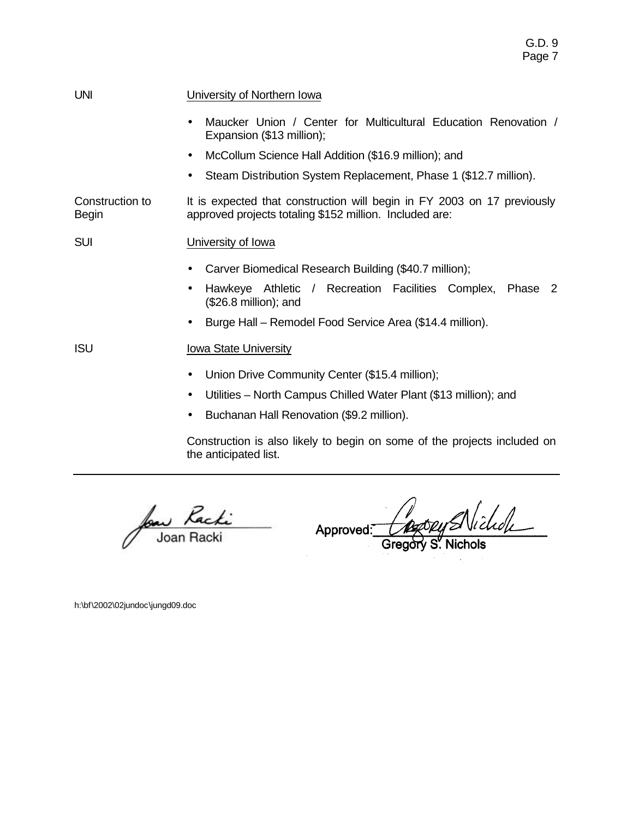| UNI                      | University of Northern Iowa                                                                                                        |
|--------------------------|------------------------------------------------------------------------------------------------------------------------------------|
|                          | Maucker Union / Center for Multicultural Education Renovation /<br>$\bullet$<br>Expansion (\$13 million);                          |
|                          | McCollum Science Hall Addition (\$16.9 million); and<br>$\bullet$                                                                  |
|                          | Steam Distribution System Replacement, Phase 1 (\$12.7 million).<br>$\bullet$                                                      |
| Construction to<br>Begin | It is expected that construction will begin in FY 2003 on 17 previously<br>approved projects totaling \$152 million. Included are: |
| <b>SUI</b>               | University of Iowa                                                                                                                 |
|                          | Carver Biomedical Research Building (\$40.7 million);                                                                              |
|                          | Hawkeye Athletic / Recreation Facilities Complex, Phase 2<br>$\bullet$<br>$($26.8 \text{ million})$ ; and                          |
|                          | Burge Hall – Remodel Food Service Area (\$14.4 million).<br>$\bullet$                                                              |
| <b>ISU</b>               | Iowa State University                                                                                                              |
|                          | Union Drive Community Center (\$15.4 million);<br>$\bullet$                                                                        |
|                          | Utilities – North Campus Chilled Water Plant (\$13 million); and<br>$\bullet$                                                      |
|                          | Buchanan Hall Renovation (\$9.2 million).<br>$\bullet$                                                                             |

Construction is also likely to begin on some of the projects included on the anticipated list.

for Racki

Nichole Approved:

S. Nichols Gregory

h:\bf\2002\02jundoc\jungd09.doc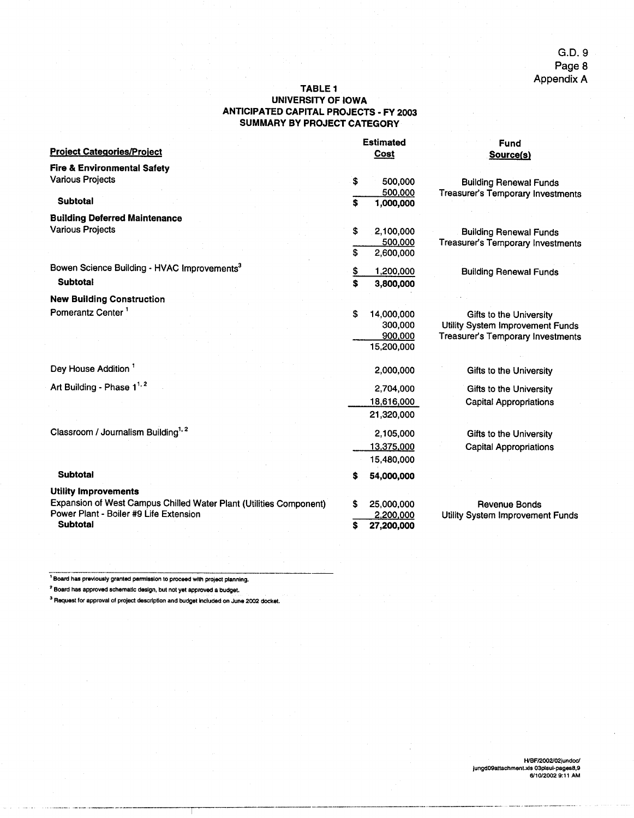#### TABLE 1 **UNIVERSITY OF IOWA ANTICIPATED CAPITAL PROJECTS - FY 2003 SUMMARY BY PROJECT CATEGORY**

|                                                                    |                 | <b>Estimated</b> | Fund                              |
|--------------------------------------------------------------------|-----------------|------------------|-----------------------------------|
| <b>Project Categories/Project</b>                                  |                 | Cost             | Source(s)                         |
| <b>Fire &amp; Environmental Safety</b>                             |                 |                  |                                   |
| <b>Various Projects</b>                                            | \$              | 500.000          | <b>Building Renewal Funds</b>     |
|                                                                    |                 | 500,000          | Treasurer's Temporary Investments |
| <b>Subtotal</b>                                                    | S               | 1,000,000        |                                   |
| <b>Building Deferred Maintenance</b>                               |                 |                  |                                   |
| <b>Various Projects</b>                                            | \$              | 2,100,000        | <b>Building Renewal Funds</b>     |
|                                                                    |                 | 500,000          | Treasurer's Temporary Investments |
|                                                                    | \$              | 2,600,000        |                                   |
| Bowen Science Building - HVAC Improvements <sup>3</sup>            |                 |                  |                                   |
| <b>Subtotal</b>                                                    | <u>\$</u><br>\$ | 1,200,000        | <b>Building Renewal Funds</b>     |
|                                                                    |                 | 3,800,000        |                                   |
| <b>New Building Construction</b>                                   |                 |                  |                                   |
| Pomerantz Center <sup>1</sup>                                      | \$              | 14,000,000       | <b>Gifts to the University</b>    |
|                                                                    |                 | 300,000          | Utility System Improvement Funds  |
|                                                                    |                 | 900,000          | Treasurer's Temporary Investments |
|                                                                    |                 | 15,200,000       |                                   |
|                                                                    |                 |                  |                                   |
| Dey House Addition <sup>1</sup>                                    |                 | 2,000,000        | <b>Gifts to the University</b>    |
| Art Building - Phase 1 <sup>1, 2</sup>                             |                 | 2,704,000        | Gifts to the University           |
|                                                                    |                 | 18,616,000       | <b>Capital Appropriations</b>     |
|                                                                    |                 | 21,320,000       |                                   |
| Classroom / Journalism Building <sup>1, 2</sup>                    |                 | 2,105,000        | <b>Gifts to the University</b>    |
|                                                                    |                 | 13,375,000       | <b>Capital Appropriations</b>     |
|                                                                    |                 | 15,480,000       |                                   |
|                                                                    |                 |                  |                                   |
| <b>Subtotal</b>                                                    | \$              | 54,000,000       |                                   |
| <b>Utility Improvements</b>                                        |                 |                  |                                   |
| Expansion of West Campus Chilled Water Plant (Utilities Component) | S               | 25,000,000       | <b>Revenue Bonds</b>              |
| Power Plant - Boiler #9 Life Extension                             |                 | 2,200,000        | Utility System Improvement Funds  |
| <b>Subtotal</b>                                                    | s               | 27,200,000       |                                   |

<sup>1</sup> Board has previously granted permission to proceed with project planning.

<sup>2</sup> Board has approved schematic design, but not yet approved a budget.

<sup>3</sup> Request for approval of project description and budget included on June 2002 docket.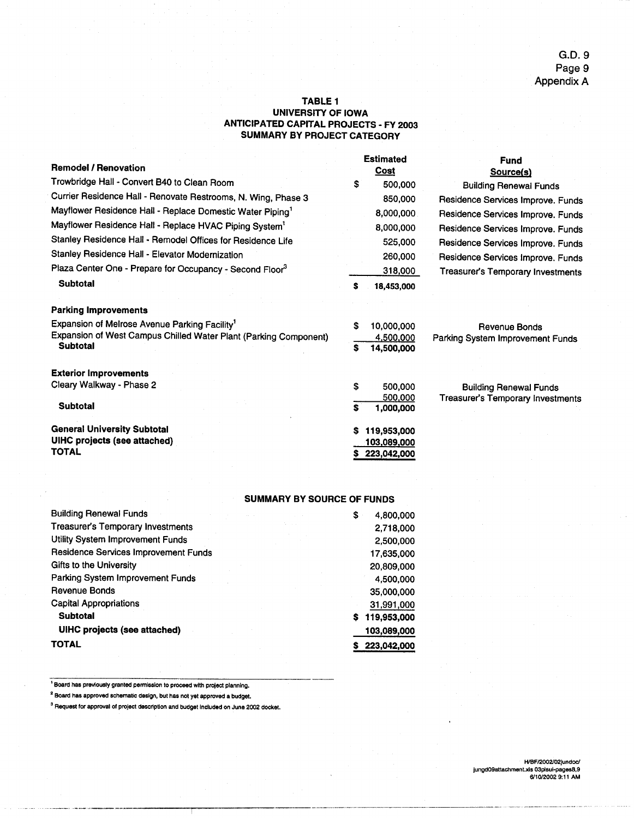#### TABLE 1 **UNIVERSITY OF IOWA ANTICIPATED CAPITAL PROJECTS - FY 2003 SUMMARY BY PROJECT CATEGORY**

|                                                                       |    | <b>Estimated</b>   | <b>Fund</b>                       |
|-----------------------------------------------------------------------|----|--------------------|-----------------------------------|
| <b>Remodel / Renovation</b>                                           |    | <b>Cost</b>        | Source(s)                         |
| Trowbridge Hall - Convert B40 to Clean Room                           | \$ | 500,000            | <b>Building Renewal Funds</b>     |
| Currier Residence Hall - Renovate Restrooms, N. Wing, Phase 3         |    | 850,000            | Residence Services Improve. Funds |
| Mayflower Residence Hall - Replace Domestic Water Piping <sup>1</sup> |    | 8,000,000          | Residence Services Improve. Funds |
| Mayflower Residence Hall - Replace HVAC Piping System <sup>1</sup>    |    | 8,000,000          | Residence Services Improve. Funds |
| Stanley Residence Hall - Remodel Offices for Residence Life           |    | 525,000            | Residence Services Improve. Funds |
| Stanley Residence Hall - Elevator Modernization                       |    | 260,000            | Residence Services Improve. Funds |
| Plaza Center One - Prepare for Occupancy - Second Floor <sup>3</sup>  |    | 318,000            | Treasurer's Temporary Investments |
| Subtotal                                                              | s  | 18,453,000         |                                   |
| <b>Parking Improvements</b>                                           |    |                    |                                   |
| Expansion of Melrose Avenue Parking Facility <sup>1</sup>             | \$ | 10,000,000         | Revenue Bonds                     |
| Expansion of West Campus Chilled Water Plant (Parking Component)      |    | 4,500,000          | Parking System Improvement Funds  |
| <b>Subtotal</b>                                                       | \$ | 14,500,000         |                                   |
| <b>Exterior Improvements</b>                                          |    |                    |                                   |
| Cleary Walkway - Phase 2                                              | \$ | 500,000            | <b>Building Renewal Funds</b>     |
|                                                                       |    | 500,000            | Treasurer's Temporary Investments |
| <b>Subtotal</b>                                                       | s  | 1,000,000          |                                   |
| <b>General University Subtotal</b>                                    | s  | 119,953,000        |                                   |
| UIHC projects (see attached)                                          |    | <u>103,089,000</u> |                                   |
| <b>TOTAL</b>                                                          |    | 223,042,000        |                                   |
|                                                                       |    |                    |                                   |

#### **SUMMARY BY SOURCE OF FUNDS**

| <b>Building Renewal Funds</b>            | \$ | 4,800,000   |
|------------------------------------------|----|-------------|
| <b>Treasurer's Temporary Investments</b> |    | 2,718,000   |
| Utility System Improvement Funds         |    | 2,500,000   |
| Residence Services Improvement Funds     |    | 17,635,000  |
| <b>Gifts to the University</b>           |    | 20,809,000  |
| Parking System Improvement Funds         |    | 4,500,000   |
| Revenue Bonds                            |    | 35,000,000  |
| <b>Capital Appropriations</b>            |    | 31,991,000  |
| <b>Subtotal</b>                          | S  | 119,953,000 |
| UIHC projects (see attached)             |    | 103,089,000 |
| <b>TOTAL</b>                             |    | 223,042,000 |
|                                          |    |             |

<sup>1</sup> Board has previously granted permission to proceed with project planning.

<sup>2</sup> Board has approved schematic design, but has not yet approved a budget.

<sup>3</sup> Request for approval of project description and budget included on June 2002 docket.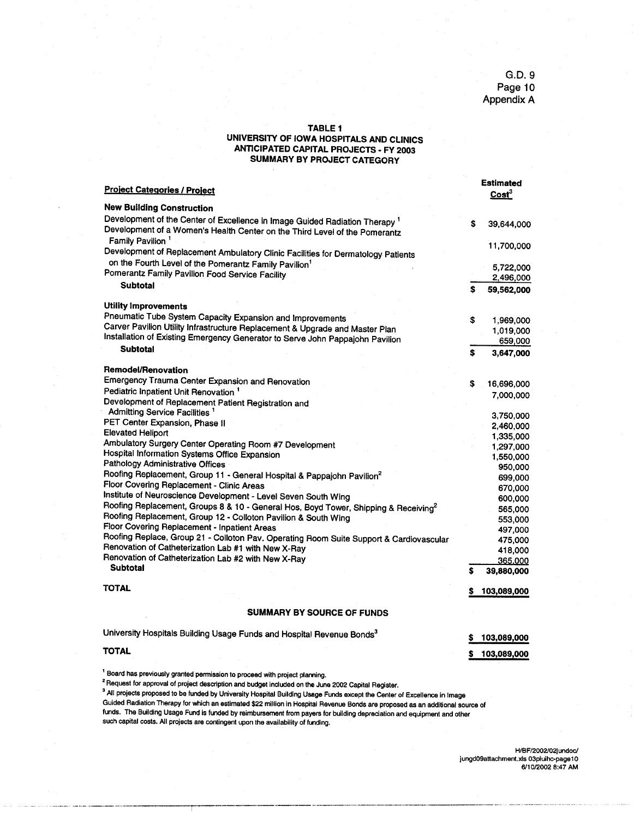G.D. 9 Page 10 Appendix A

TABLE 1 UNIVERSITY OF IOWA HOSPITALS AND CLINICS **ANTICIPATED CAPITAL PROJECTS - FY 2003** SUMMARY BY PROJECT CATEGORY

| <b>Project Categories / Project</b>                                                                                                                                  |    | Estimated<br>Cost <sup>3</sup> |
|----------------------------------------------------------------------------------------------------------------------------------------------------------------------|----|--------------------------------|
|                                                                                                                                                                      |    |                                |
| <b>New Building Construction</b>                                                                                                                                     |    |                                |
| Development of the Center of Excellence in Image Guided Radiation Therapy <sup>1</sup><br>Development of a Women's Health Center on the Third Level of the Pomerantz | \$ | 39,644,000                     |
| Family Pavilion <sup>1</sup><br>Development of Replacement Ambulatory Clinic Facilities for Dermatology Patients                                                     |    | 11,700,000                     |
| on the Fourth Level of the Pomerantz Family Pavilion <sup>1</sup>                                                                                                    |    | 5,722,000                      |
| Pomerantz Family Pavilion Food Service Facility                                                                                                                      |    | 2,496,000                      |
| <b>Subtotal</b>                                                                                                                                                      | S  | 59,562,000                     |
|                                                                                                                                                                      |    |                                |
| Utility Improvements                                                                                                                                                 |    |                                |
| Pneumatic Tube System Capacity Expansion and Improvements                                                                                                            | \$ | 1,969,000                      |
| Carver Pavilion Utility Infrastructure Replacement & Upgrade and Master Plan                                                                                         |    | 1,019,000                      |
| Installation of Existing Emergency Generator to Serve John Pappajohn Pavilion                                                                                        |    | 659,000                        |
| <b>Subtotal</b>                                                                                                                                                      | \$ | 3,647,000                      |
| <b>Remodel/Renovation</b>                                                                                                                                            |    |                                |
|                                                                                                                                                                      |    |                                |
| Emergency Trauma Center Expansion and Renovation                                                                                                                     | \$ | 16,696,000                     |
| Pediatric Inpatient Unit Renovation <sup>1</sup>                                                                                                                     |    | 7,000,000                      |
| Development of Replacement Patient Registration and                                                                                                                  |    |                                |
| Admitting Service Facilities <sup>1</sup>                                                                                                                            |    | 3,750,000                      |
| PET Center Expansion, Phase II                                                                                                                                       |    | 2,460,000                      |
| <b>Elevated Heliport</b>                                                                                                                                             |    | 1,335,000                      |
| Ambulatory Surgery Center Operating Room #7 Development                                                                                                              |    | 1,297,000                      |
| Hospital Information Systems Office Expansion                                                                                                                        |    | 1,550,000                      |
| Pathology Administrative Offices                                                                                                                                     |    | 950,000                        |
| Roofing Replacement, Group 11 - General Hospital & Pappajohn Pavilion <sup>2</sup>                                                                                   |    | 699,000                        |
| Floor Covering Replacement - Clinic Areas                                                                                                                            |    | 670,000                        |
| Institute of Neuroscience Development - Level Seven South Wing                                                                                                       |    | 600,000                        |
| Roofing Replacement, Groups 8 & 10 - General Hos, Boyd Tower, Shipping & Receiving <sup>2</sup>                                                                      |    | 565,000                        |
| Roofing Replacement, Group 12 - Colloton Pavilion & South Wing                                                                                                       |    | 553,000                        |
| Floor Covering Replacement - Inpatient Areas                                                                                                                         |    | 497,000                        |
| Roofing Replace, Group 21 - Colloton Pav. Operating Room Suite Support & Cardiovascular                                                                              |    | 475,000                        |
| Renovation of Catheterization Lab #1 with New X-Ray                                                                                                                  |    | 418,000                        |
| Renovation of Catheterization Lab #2 with New X-Ray                                                                                                                  |    | 365,000                        |
| <b>Subtotal</b>                                                                                                                                                      | \$ | 39,880,000                     |
| <b>TOTAL</b>                                                                                                                                                         |    | 103,089,000                    |
|                                                                                                                                                                      |    |                                |
| <b>SUMMARY BY SOURCE OF FUNDS</b>                                                                                                                                    |    |                                |
| University Hospitals Building Usage Funds and Hospital Revenue Bonds <sup>3</sup>                                                                                    |    |                                |
| <b>TOTAL</b>                                                                                                                                                         |    | 103,089,000                    |
|                                                                                                                                                                      | s  | 103,089,000                    |
| <sup>1</sup> Board has previously granted permission to proceed with project planning.                                                                               |    |                                |

<sup>2</sup> Request for approval of project description and budget included on the June 2002 Capital Register.

all projects proposed to be funded by University Hospital Building Usage Funds except the Center of Excellence in Image Guided Radiation Therapy for which an estimated \$22 million in Hospital Revenue Bonds are proposed as an additional source of funds. The Building Usage Fund is funded by reimbursement from payers for building depreciation and equipment and other such capital costs. All projects are contingent upon the availability of funding.

> H/BF/2002/02jundoc/ jungd09attachment.xls 03pluihc-page10 6/10/2002 8:47 AM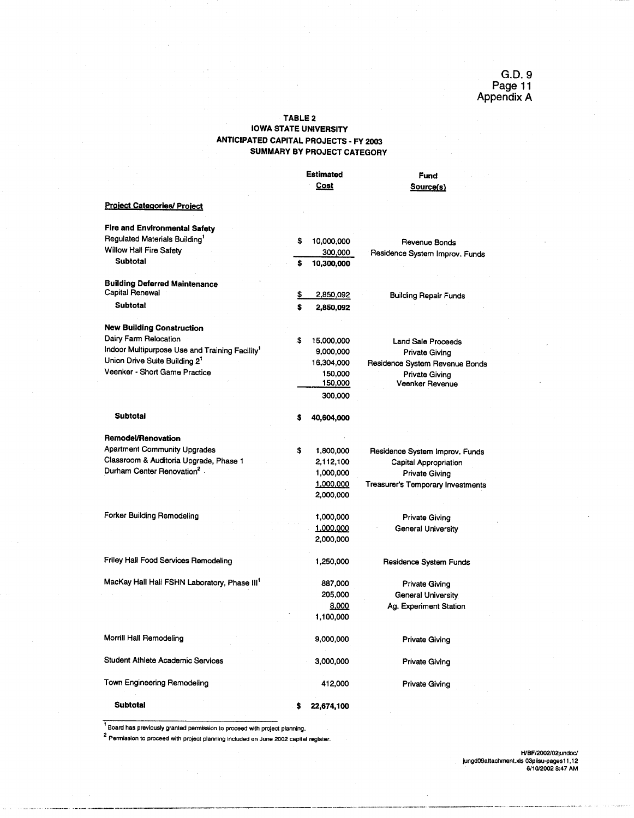G.D. 9<br>Page 11<br>Appendix A

#### TABLE 2 **IOWA STATE UNIVERSITY ANTICIPATED CAPITAL PROJECTS - FY 2003** SUMMARY BY PROJECT CATEGORY

|                                                                                                         |    | <b>Estimated</b><br>Cost | Fund<br>Source(s)                 |
|---------------------------------------------------------------------------------------------------------|----|--------------------------|-----------------------------------|
| <b>Project Categories/ Project</b>                                                                      |    |                          |                                   |
| <b>Fire and Environmental Safety</b>                                                                    |    |                          |                                   |
| Regulated Materials Building <sup>1</sup>                                                               | \$ | 10,000,000               | Revenue Bonds                     |
| <b>Willow Hall Fire Safety</b>                                                                          |    | 300,000                  | Residence System Improv. Funds    |
| <b>Subtotal</b>                                                                                         | s  | 10,300,000               |                                   |
| <b>Building Deferred Maintenance</b>                                                                    |    |                          |                                   |
| Capital Renewal                                                                                         | \$ | 2,850,092                | <b>Building Repair Funds</b>      |
| <b>Subtotal</b>                                                                                         | \$ | 2,850,092                |                                   |
| <b>New Building Construction</b>                                                                        |    |                          |                                   |
|                                                                                                         |    |                          |                                   |
| Dairy Farm Relocation                                                                                   | \$ | 15,000,000               | Land Sale Proceeds                |
| Indoor Multipurpose Use and Training Facility <sup>1</sup><br>Union Drive Suite Building 2 <sup>1</sup> |    | 9,000,000                | Private Giving                    |
| Veenker - Short Game Practice                                                                           |    | 16,304,000               | Residence System Revenue Bonds    |
|                                                                                                         |    | 150,000                  | Private Giving                    |
|                                                                                                         |    | 150,000<br>300,000       | Veenker Revenue                   |
| Subtotal                                                                                                | s  | 40,604,000               |                                   |
|                                                                                                         |    |                          |                                   |
| <b>Remodel/Renovation</b>                                                                               |    |                          |                                   |
| <b>Apartment Community Upgrades</b>                                                                     | \$ | 1,800,000                | Residence System Improv, Funds    |
| Classroom & Auditoria Upgrade, Phase 1                                                                  |    | 2,112,100                | Capital Appropriation             |
| Durham Center Renovation <sup>2</sup>                                                                   |    | 1,000,000                | <b>Private Giving</b>             |
|                                                                                                         |    | <u>1,000,000</u>         | Treasurer's Temporary Investments |
|                                                                                                         |    | 2,000,000                |                                   |
| Forker Building Remodeling                                                                              |    | 1,000,000                | <b>Private Giving</b>             |
|                                                                                                         |    | 1,000,000                | General University                |
|                                                                                                         |    | 2,000,000                |                                   |
| Friley Hall Food Services Remodeling                                                                    |    | 1,250,000                | Residence System Funds            |
| MacKay Hall Hall FSHN Laboratory, Phase III <sup>1</sup>                                                |    | 887,000                  | <b>Private Giving</b>             |
|                                                                                                         |    | 205,000                  | <b>General University</b>         |
|                                                                                                         |    | 8,000                    | Ag. Experiment Station            |
|                                                                                                         |    | 1,100,000                |                                   |
| Morrill Hall Remodeling                                                                                 |    | 9,000,000                | <b>Private Giving</b>             |
| Student Athlete Academic Services                                                                       |    | 3,000,000                | Private Giving                    |
| Town Engineering Remodeling                                                                             |    | 412,000                  | <b>Private Giving</b>             |
| <b>Subtotal</b>                                                                                         | s  | 22,674,100               |                                   |

Board has previously granted permission to proceed with project planning.

2 permission to proceed with project planning included on June 2002 capital register.

/H/BF/2002/02jundoc<br>jungd09attachment.xls 03plisu-pages11,12<br>6/10/2002 8:47 AM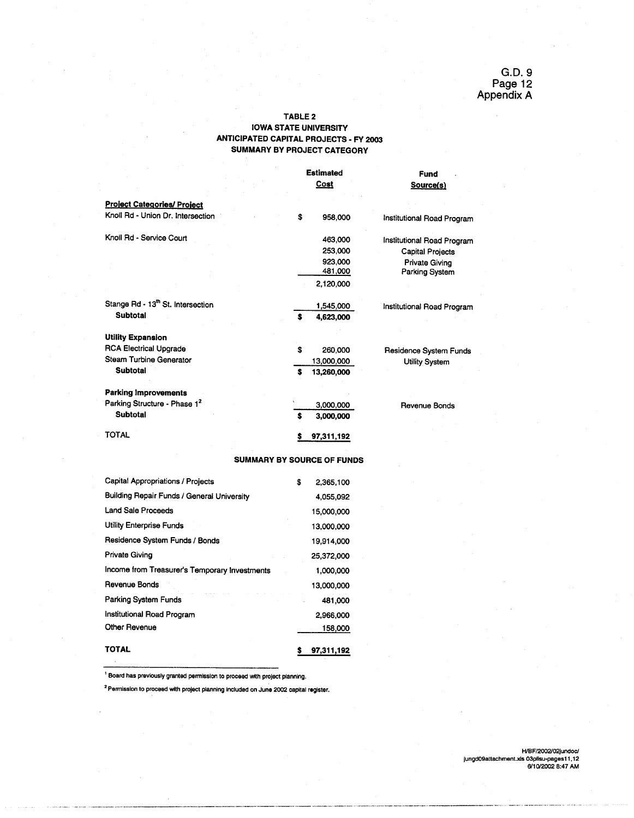#### TABLE 2 **IOWA STATE UNIVERSITY ANTICIPATED CAPITAL PROJECTS - FY 2003** SUMMARY BY PROJECT CATEGORY

|                                               |    | Estimated          | Fund                                    |
|-----------------------------------------------|----|--------------------|-----------------------------------------|
|                                               |    | <b>Cost</b>        | Source(s)                               |
| <b>Project Categories/ Project</b>            |    |                    |                                         |
| Knoll Rd - Union Dr. Intersection             | \$ | 958,000            | Institutional Road Program              |
| Knoll Rd - Service Court                      |    | 463,000            | Institutional Road Program              |
|                                               |    | 253,000            | <b>Capital Projects</b>                 |
|                                               |    | 923.000<br>481,000 | <b>Private Giving</b><br>Parking System |
|                                               |    | 2,120,000          |                                         |
| Stange Rd - 13 <sup>th</sup> St. Intersection |    | 1,545,000          | Institutional Road Program              |
| <b>Subtotal</b>                               | s  | 4,623,000          |                                         |
| <b>Utility Expansion</b>                      |    |                    |                                         |
| <b>RCA Electrical Upgrade</b>                 | Ŝ  | 260,000            | Residence System Funds                  |
| Steam Turbine Generator                       |    | 13,000,000         | Utility System                          |
| <b>Subtotal</b>                               | s. | 13,260,000         |                                         |
| <b>Parking Improvements</b>                   |    |                    |                                         |
| Parking Structure - Phase 1 <sup>2</sup>      |    | 3,000,000          | Revenue Bonds                           |
| <b>Subtotal</b>                               | Ŝ  | 3,000,000          |                                         |
| <b>TOTAL</b>                                  |    | 97,311,192         |                                         |

#### **SUMMARY BY SOURCE OF FUNDS**

| Capital Appropriations / Projects                 | \$<br>2.365,100 |
|---------------------------------------------------|-----------------|
| <b>Building Repair Funds / General University</b> | 4,055,092       |
| Land Sale Proceeds                                | 15,000,000      |
| <b>Utility Enterprise Funds</b>                   | 13,000,000      |
| Residence System Funds / Bonds                    | 19,914,000      |
| <b>Private Giving</b>                             | 25,372,000      |
| Income from Treasurer's Temporary Investments     | 1,000,000       |
| Revenue Bonds                                     | 13,000,000      |
| <b>Parking System Funds</b>                       | 481,000         |
| Institutional Road Program                        | 2,966,000       |
| Other Revenue                                     | 158,000         |
| TOTAL                                             | 97,311,192      |

<sup>1</sup> Board has previously granted permission to proceed with project planning.

<sup>2</sup> Permission to proceed with project planning included on June 2002 capital register.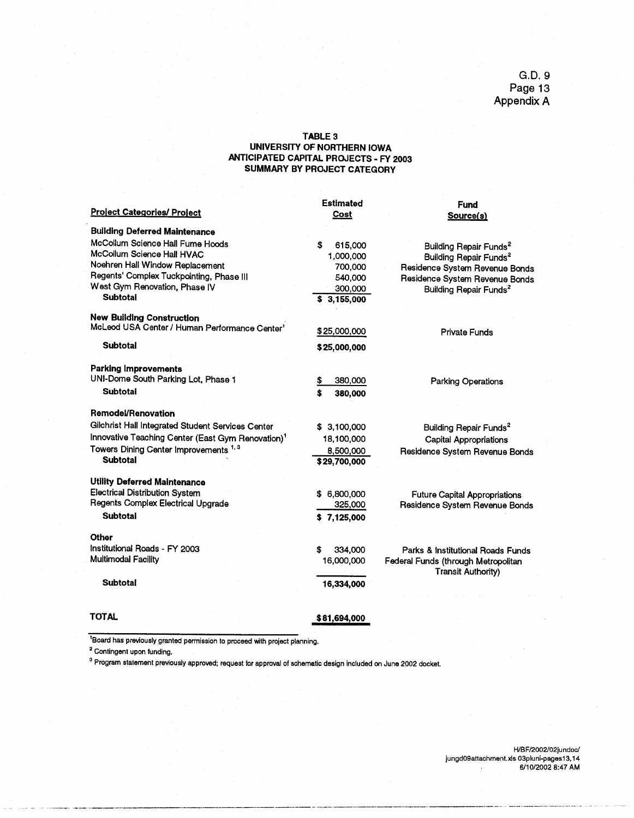G.D. 9 Page 13 Appendix A

#### TABLE 3 UNIVERSITY OF NORTHERN IOWA **ANTICIPATED CAPITAL PROJECTS - FY 2003** SUMMARY BY PROJECT CATEGORY

|                                                   | <b>Estimated</b> | Fund                                                             |
|---------------------------------------------------|------------------|------------------------------------------------------------------|
| <b>Project Categories/ Project</b>                | Cost             | Source(s)                                                        |
| <b>Building Deferred Maintenance</b>              |                  |                                                                  |
| McCollum Science Hall Fume Hoods                  | \$<br>615,000    | Building Repair Funds <sup>2</sup>                               |
| McCollum Science Hall HVAC                        | 1,000,000        | Building Repair Funds <sup>2</sup>                               |
| Noehren Hall Window Replacement                   | 700,000          | Residence System Revenue Bonds                                   |
| Regents' Complex Tuckpointing, Phase III          | 540,000          | Residence System Revenue Bonds                                   |
| West Gym Renovation, Phase IV                     | 300,000          | Building Repair Funds <sup>2</sup>                               |
| <b>Subtotal</b>                                   | \$3,155,000      |                                                                  |
| <b>New Building Construction</b>                  |                  |                                                                  |
| McLeod USA Center / Human Performance Center'     | \$25,000,000     | <b>Private Funds</b>                                             |
|                                                   |                  |                                                                  |
| Subtotal                                          | \$25,000,000     |                                                                  |
| <b>Parking Improvements</b>                       |                  |                                                                  |
| UNI-Dome South Parking Lot, Phase 1               | 380,000          | <b>Parking Operations</b>                                        |
| Subtotal                                          | \$<br>380,000    |                                                                  |
| <b>Remodel/Renovation</b>                         |                  |                                                                  |
| Gilchrist Hall Integrated Student Services Center | \$3,100,000      | Building Repair Funds <sup>2</sup>                               |
| Innovative Teaching Center (East Gym Renovation)1 | 18,100,000       |                                                                  |
| Towers Dining Center Improvements <sup>1, 3</sup> |                  | <b>Capital Appropriations</b>                                    |
| <b>Subtotal</b>                                   | 8,500,000        | Residence System Revenue Bonds                                   |
|                                                   | \$29,700,000     |                                                                  |
| <b>Utility Deferred Maintenance</b>               |                  |                                                                  |
| Electrical Distribution System.                   | \$6,800,000      | <b>Future Capital Appropriations</b>                             |
| <b>Regents Complex Electrical Upgrade</b>         | 325,000          | Residence System Revenue Bonds                                   |
| <b>Subtotal</b>                                   | \$7,125,000      |                                                                  |
| Other                                             |                  |                                                                  |
| Institutional Roads - FY 2003                     | 334,000<br>\$    | Parks & Institutional Roads Funds                                |
| Multimodal Facility                               | 16,000,000       | Federal Funds (through Metropolitan<br><b>Transit Authority)</b> |
| Subtotal                                          | 16,334,000       |                                                                  |
|                                                   |                  |                                                                  |
| <b>TOTAL</b>                                      | \$81,694.000     |                                                                  |

Board has previously granted permission to proceed with project planning.

<sup>2</sup> Contingent upon funding.

<sup>3</sup> Program statement previously approved; request for approval of schematic design included on June 2002 docket.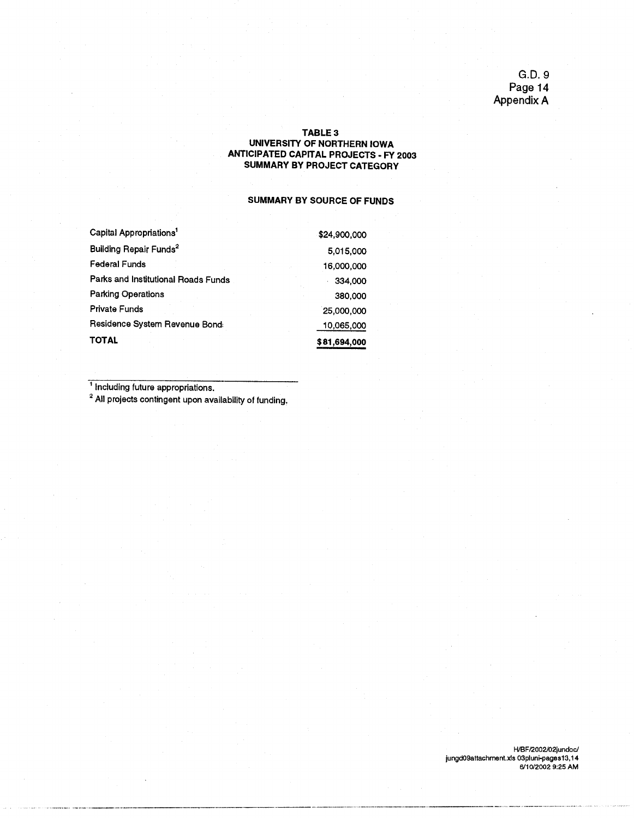G.D. 9 Page 14 Appendix A

#### TABLE 3 UNIVERSITY OF NORTHERN IOWA **ANTICIPATED CAPITAL PROJECTS - FY 2003** SUMMARY BY PROJECT CATEGORY

#### **SUMMARY BY SOURCE OF FUNDS**

| Capital Appropriations <sup>1</sup>      | \$24,900,000 |
|------------------------------------------|--------------|
| <b>Building Repair Funds<sup>2</sup></b> | 5,015,000    |
| <b>Federal Funds</b>                     | 16,000,000   |
| Parks and Institutional Roads Funds      | 334,000      |
| <b>Parking Operations</b>                | 380,000      |
| <b>Private Funds</b>                     | 25,000,000   |
| Residence System Revenue Bond:           | 10,065,000   |
| <b>TOTAL</b>                             | \$81,694,000 |

<sup>1</sup> Including future appropriations.

<sup>2</sup> All projects contingent upon availability of funding.

/HVBF/2002/02jundoc<br>| hygd09attachment.xls 03pluni-pages13,14<br>| 6/10/2002 9:25 AM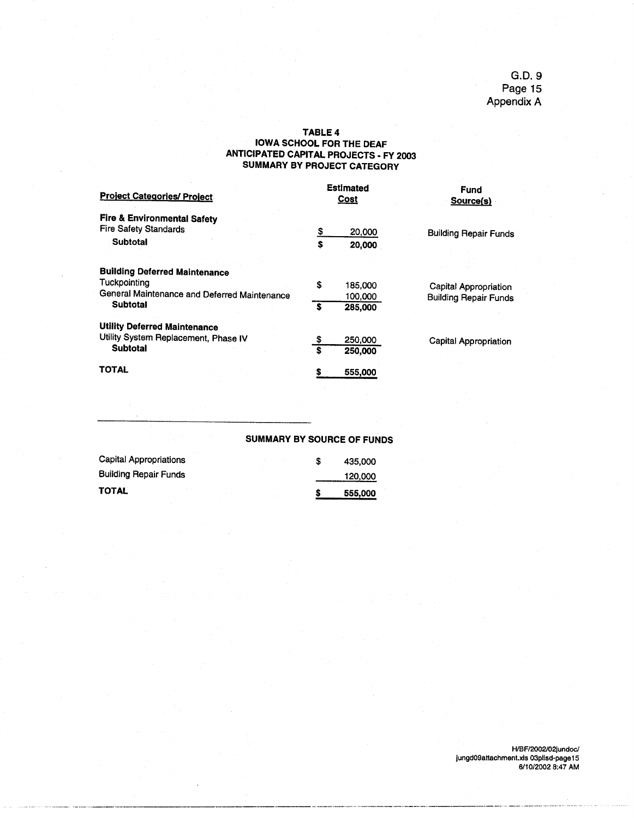G.D. 9 Page 15<br>Appendix A

#### TABLE 4 **IOWA SCHOOL FOR THE DEAF ANTICIPATED CAPITAL PROJECTS - FY 2003** SUMMARY BY PROJECT CATEGORY

| <b>Project Categories/ Project</b>                                     |    | <b>Estimated</b><br><b>Cost</b> | <b>Fund</b><br>Source(s)     |  |  |
|------------------------------------------------------------------------|----|---------------------------------|------------------------------|--|--|
| <b>Fire &amp; Environmental Safety</b><br><b>Fire Safety Standards</b> |    |                                 |                              |  |  |
|                                                                        | S  | 20,000                          | <b>Building Repair Funds</b> |  |  |
| <b>Subtotal</b>                                                        | S  | 20,000                          |                              |  |  |
| <b>Building Deferred Maintenance</b>                                   |    |                                 |                              |  |  |
| Tuckpointing                                                           | S  | 185,000                         | Capital Appropriation        |  |  |
| General Maintenance and Deferred Maintenance                           |    | 100,000                         | <b>Building Repair Funds</b> |  |  |
| <b>Subtotal</b>                                                        | S. | 285,000                         |                              |  |  |
| <b>Utility Deferred Maintenance</b>                                    |    |                                 |                              |  |  |
| Utility System Replacement, Phase IV                                   | \$ | 250,000                         | Capital Appropriation        |  |  |
| <b>Subtotal</b>                                                        | \$ | 250,000                         |                              |  |  |
| <b>TOTAL</b>                                                           | S  | 555,000                         |                              |  |  |

#### **SUMMARY BY SOURCE OF FUNDS**

| Capital Appropriations |  | S | 435,000 |
|------------------------|--|---|---------|
| Building Repair Funds  |  |   | 120,000 |
| TOTAL                  |  |   | 555.000 |

/H/BF/2002/02jundoc<br>jungd09attachment.xls 03plisd-page15<br>6/10/2002 8:47 AM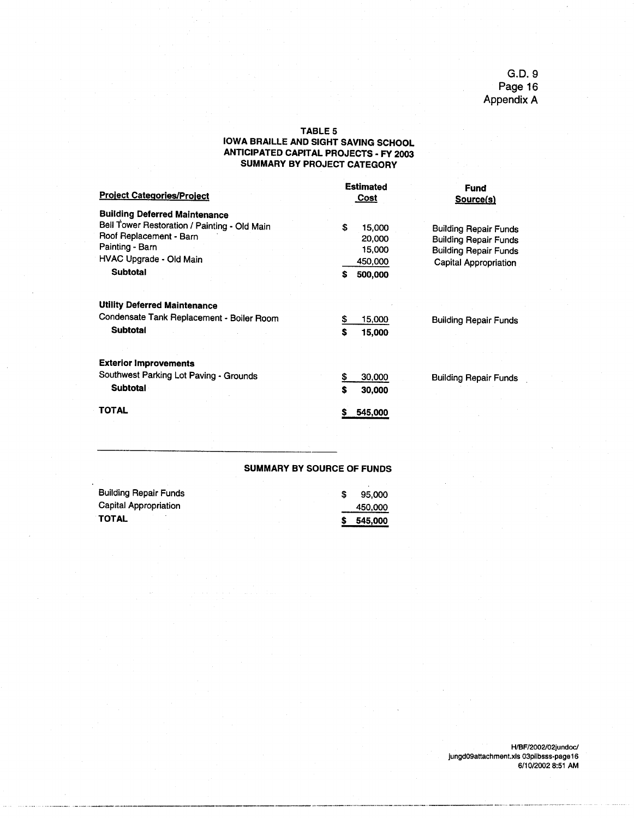G.D. 9 Page 16<br>Appendix A

## TABLE 5 **IOWA BRAILLE AND SIGHT SAVING SCHOOL<br>ANTICIPATED CAPITAL PROJECTS - FY 2003 SUMMARY BY PROJECT CATEGORY**

| <b>Project Categories/Project</b>            | <b>Estimated</b><br><u>Cost</u> | <b>Fund</b><br>Source(s)     |
|----------------------------------------------|---------------------------------|------------------------------|
| <b>Building Deferred Maintenance</b>         |                                 |                              |
| Bell Tower Restoration / Painting - Old Main | S<br>15,000                     | <b>Building Repair Funds</b> |
| Roof Replacement - Barn                      | 20,000                          | <b>Building Repair Funds</b> |
| Painting - Barn                              | 15,000                          | <b>Building Repair Funds</b> |
| HVAC Upgrade - Old Main                      | 450,000                         | Capital Appropriation        |
| <b>Subtotal</b>                              | 500,000<br>S                    |                              |
| <b>Utility Deferred Maintenance</b>          |                                 |                              |
| Condensate Tank Replacement - Boiler Room    | 15,000<br>S                     | <b>Building Repair Funds</b> |
| <b>Subtotal</b>                              | Ŝ<br>15,000                     |                              |
|                                              |                                 |                              |
| <b>Exterior Improvements</b>                 |                                 |                              |
| Southwest Parking Lot Paving - Grounds       | S<br>30,000                     | <b>Building Repair Funds</b> |
| <b>Subtotal</b>                              | 30,000<br>S                     |                              |
| <b>TOTAL</b>                                 | 545,000                         |                              |

#### **SUMMARY BY SOURCE OF FUNDS**

| <b>Building Repair Funds</b> |  | 95,000  |
|------------------------------|--|---------|
| Capital Appropriation        |  | 450,000 |
| <b>TOTAL</b>                 |  | 545,000 |

H/BF/2002/02jundoc/<br>Jungd09attachment.xls 03plibsss-page16<br>6/10/2002 8:51 AM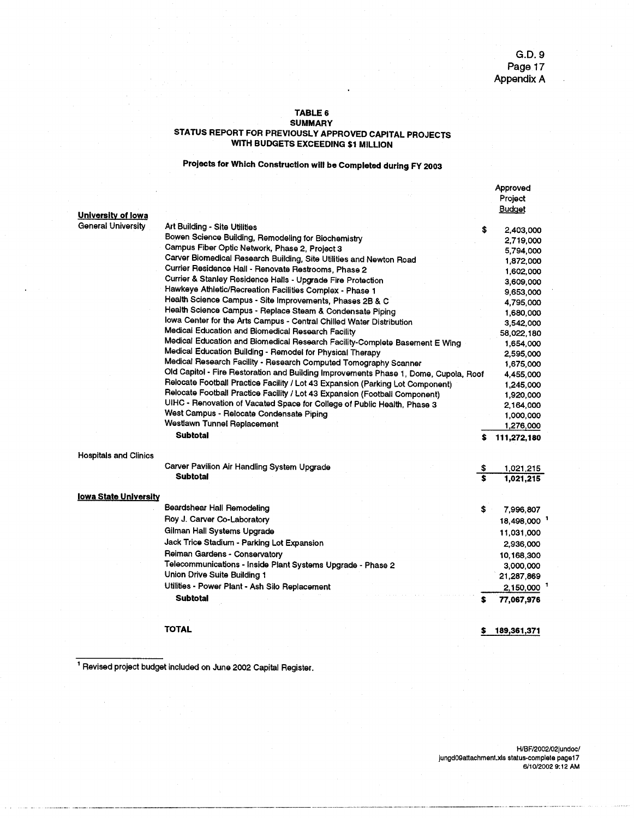## TABLE 6<br>SUMMARY

# STATUS REPORT FOR PREVIOUSLY APPROVED CAPITAL PROJECTS<br>WITH BUDGETS EXCEEDING \$1 MILLION

### Projects for Which Construction will be Completed during FY 2003

|                              |                                                                                      |    | Approved    |
|------------------------------|--------------------------------------------------------------------------------------|----|-------------|
|                              |                                                                                      |    | Project     |
|                              |                                                                                      |    | Budget      |
| University of lowa           |                                                                                      |    |             |
| <b>General University</b>    | Art Building - Site Utilities                                                        | s  | 2,403,000   |
|                              | Bowen Science Building, Remodeling for Biochemistry                                  |    | 2,719,000   |
|                              | Campus Fiber Optic Network, Phase 2, Project 3                                       |    | 5,794,000   |
|                              | Carver Biomedical Research Building, Site Utilities and Newton Road                  |    | 1,872,000   |
|                              | Currier Residence Hall - Renovate Restrooms, Phase 2                                 |    | 1,602,000   |
|                              | Currier & Stanley Residence Halls - Upgrade Fire Protection                          |    | 3,609,000   |
|                              | Hawkeye Athletic/Recreation Facilities Complex - Phase 1                             |    | 9,653,000   |
|                              | Health Science Campus - Site Improvements, Phases 2B & C                             |    | 4,795,000   |
|                              | Health Science Campus - Replace Steam & Condensate Piping                            |    | 1,680,000   |
|                              | lowa Center for the Arts Campus - Central Chilled Water Distribution                 |    | 3,542,000   |
|                              | Medical Education and Biomedical Research Facility                                   |    | 58,022,180  |
|                              | Medical Education and Biomedical Research Facility-Complete Basement E Wing          |    | 1,654,000   |
|                              | Medical Education Building - Remodel for Physical Therapy                            |    | 2,595,000   |
|                              | Medical Research Facility - Research Computed Tomography Scanner                     |    | 1,675,000   |
|                              | Old Capitol - Fire Restoration and Building Improvements Phase 1, Dome, Cupola, Roof |    | 4,455,000   |
|                              | Relocate Football Practice Facility / Lot 43 Expansion (Parking Lot Component)       |    | 1,245,000   |
|                              | Relocate Football Practice Facility / Lot 43 Expansion (Football Component)          |    | 1,920,000   |
|                              | UIHC - Renovation of Vacated Space for College of Public Health, Phase 3             |    | 2,164,000   |
|                              | West Campus - Relocate Condensate Piping                                             |    | 1,000,000   |
|                              | Westlawn Tunnel Replacement                                                          |    | 1,276,000   |
|                              | <b>Subtotal</b>                                                                      | S  | 111,272,180 |
| <b>Hospitals and Clinics</b> |                                                                                      |    |             |
|                              | Carver Pavilion Air Handling System Upgrade                                          | s  | 1,021,215   |
|                              | <b>Subtotal</b>                                                                      | Ś  | 1,021,215   |
| lowa State University        |                                                                                      |    |             |
|                              | Beardshear Hall Remodeling                                                           | \$ | 7,996,807   |
|                              | Roy J. Carver Co-Laboratory                                                          |    | 18,498,000  |
|                              | Gilman Hall Systems Upgrade                                                          |    |             |
|                              | Jack Trice Stadium - Parking Lot Expansion                                           |    | 11,031,000  |
|                              |                                                                                      |    | 2,936,000   |
|                              | Reiman Gardens - Conservatory                                                        |    | 10,168,300  |
|                              | Telecommunications - Inside Plant Systems Upgrade - Phase 2                          |    | 3,000,000   |
|                              | Union Drive Suite Building 1                                                         |    | 21,287,869  |
|                              | Utilities - Power Plant - Ash Silo Replacement                                       |    | 2,150,000   |
|                              | <b>Subtotal</b>                                                                      | s  | 77,067,976  |
|                              |                                                                                      |    |             |
|                              | <b>TOTAL</b>                                                                         | 5  | 189,361,371 |

Revised project budget included on June 2002 Capital Register.

/H/BF/2002/02|undoc<br>jungd09attachment.xls status-complete page17<br>6/10/2002 9:12 AM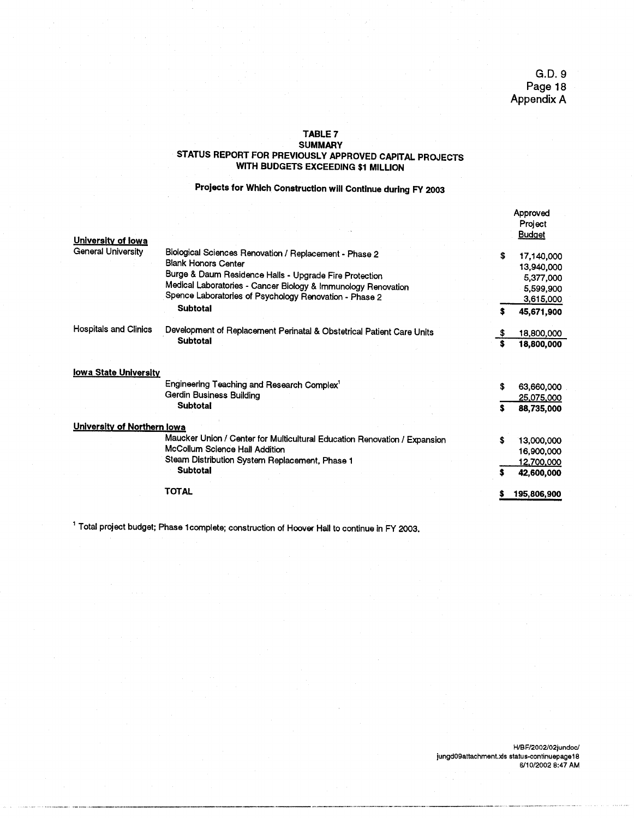#### TABLE 7

#### **SUMMARY** STATUS REPORT FOR PREVIOUSLY APPROVED CAPITAL PROJECTS WITH BUDGETS EXCEEDING \$1 MILLION

## Projects for Which Construction will Continue during FY 2003

|                              |                                                                                      |    | Approved<br>Project<br><u>Budget</u> |
|------------------------------|--------------------------------------------------------------------------------------|----|--------------------------------------|
| University of lowa           |                                                                                      |    |                                      |
| General University           | Biological Sciences Renovation / Replacement - Phase 2<br><b>Blank Honors Center</b> | \$ | 17,140,000                           |
|                              | Burge & Daum Residence Halls - Upgrade Fire Protection                               |    | 13,940,000                           |
|                              | Medical Laboratories - Cancer Biology & Immunology Renovation                        |    | 5,377,000                            |
|                              |                                                                                      |    | 5,599,900                            |
|                              | Spence Laboratories of Psychology Renovation - Phase 2                               |    | 3,615,000                            |
|                              | <b>Subtotal</b>                                                                      | s  | 45,671,900                           |
| Hospitals and Clinics        | Development of Replacement Perinatal & Obstetrical Patient Care Units                |    | 18,800,000                           |
|                              | <b>Subtotal</b>                                                                      |    | 18,800,000                           |
| <b>lowa State University</b> |                                                                                      |    |                                      |
|                              | Engineering Teaching and Research Complex <sup>1</sup>                               | Ŝ. | 63,660,000                           |
|                              | <b>Gerdin Business Building</b>                                                      |    | 25,075,000                           |
|                              | <b>Subtotal</b>                                                                      | Ŝ. | 88,735,000                           |
| University of Northern lowa  |                                                                                      |    |                                      |
|                              | Maucker Union / Center for Multicultural Education Renovation / Expansion            | s  | 13,000,000                           |
|                              | McCollum Science Hall Addition                                                       |    | 16,900,000                           |
|                              | Steam Distribution System Replacement, Phase 1                                       |    | 12,700,000                           |
|                              | <b>Subtotal</b>                                                                      | s  | 42,600,000                           |
|                              | <b>TOTAL</b>                                                                         |    | 195,806,900                          |

<sup>1</sup> Total project budget; Phase 1 complete; construction of Hoover Hall to continue in FY 2003.

H/BF/2002/02jundoc/ jungd09attachment.xls status-continuepage18<br>6/10/2002 8:47 AM